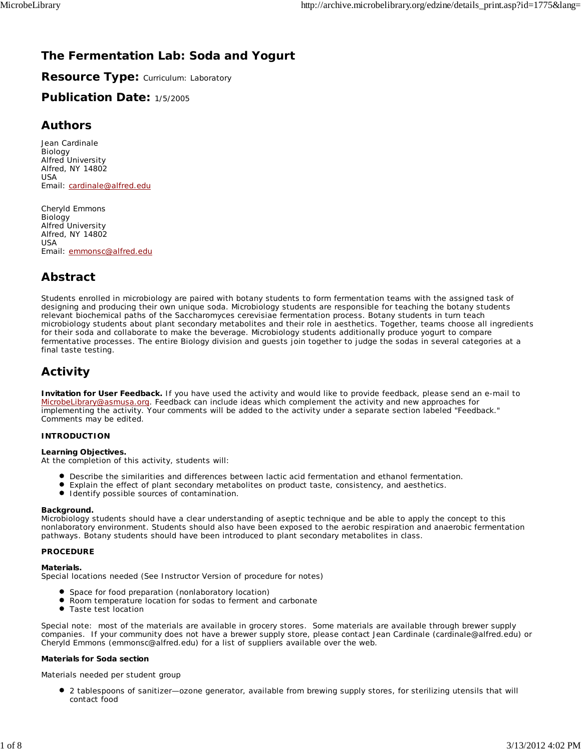# **The Fermentation Lab: Soda and Yogurt**

**Resource Type: Curriculum: Laboratory** 

## **Publication Date:** 1/5/2005

## **Authors**

*Jean Cardinale* Biology Alfred University Alfred, NY 14802 USA Email: cardinale@alfred.edu

*Cheryld Emmons* Biology Alfred University Alfred, NY 14802 USA Email: emmonsc@alfred.edu

# **Abstract**

Students enrolled in microbiology are paired with botany students to form fermentation teams with the assigned task of designing and producing their own unique soda. Microbiology students are responsible for teaching the botany students relevant biochemical paths of the *Saccharomyces cerevisiae* fermentation process. Botany students in turn teach microbiology students about plant secondary metabolites and their role in aesthetics. Together, teams choose all ingredients for their soda and collaborate to make the beverage. Microbiology students additionally produce yogurt to compare fermentative processes. The entire Biology division and guests join together to judge the sodas in several categories at a final taste testing.

## **Activity**

**Invitation for User Feedback.** If you have used the activity and would like to provide feedback, please send an e-mail to MicrobeLibrary@asmusa.org. Feedback can include ideas which complement the activity and new approaches for implementing the activity. Your comments will be added to the activity under a separate section labeled "Feedback." Comments may be edited.

## **INTRODUCTION**

## **Learning Objectives.**

At the completion of this activity, students will:

- Describe the similarities and differences between lactic acid fermentation and ethanol fermentation.
- $\bullet$ Explain the effect of plant secondary metabolites on product taste, consistency, and aesthetics.
- $\bullet$  Identify possible sources of contamination.

## **Background.**

Microbiology students should have a clear understanding of aseptic technique and be able to apply the concept to this nonlaboratory environment. Students should also have been exposed to the aerobic respiration and anaerobic fermentation pathways. Botany students should have been introduced to plant secondary metabolites in class.

## **PROCEDURE**

## **Materials.**

Special locations needed (See Instructor Version of procedure for notes)

- **•** Space for food preparation (nonlaboratory location)
- $\bullet$ Room temperature location for sodas to ferment and carbonate
- Taste test location

Special note: most of the materials are available in grocery stores. Some materials are available through brewer supply companies. If your community does not have a brewer supply store, please contact Jean Cardinale (cardinale@alfred.edu) or Cheryld Emmons (emmonsc@alfred.edu) for a list of suppliers available over the web.

## *Materials for Soda section*

*Materials needed per student group*

2 tablespoons of sanitizer—ozone generator, available from brewing supply stores, for sterilizing utensils that will contact food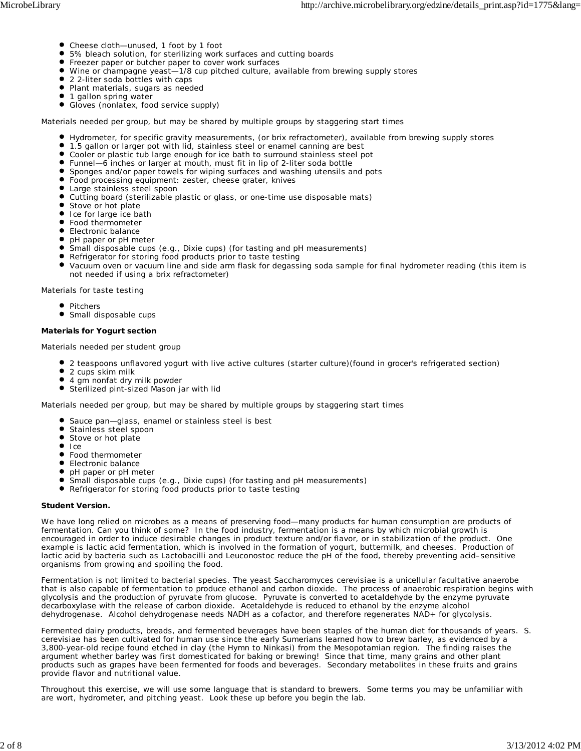- Cheese cloth—unused, 1 foot by 1 foot
- 5% bleach solution, for sterilizing work surfaces and cutting boards
- **•** Freezer paper or butcher paper to cover work surfaces
- Wine or champagne yeast—1/8 cup pitched culture, available from brewing supply stores
- 2 2-liter soda bottles with caps
- Plant materials, sugars as needed
- $\bullet$  1 gallon spring water
- Gloves (nonlatex, food service supply)

*Materials needed per group, but may be shared by multiple groups by staggering start times*

- Hydrometer, for specific gravity measurements, (or brix refractometer), available from brewing supply stores
- 1.5 gallon or larger pot with lid, stainless steel or enamel canning are best
- Cooler or plastic tub large enough for ice bath to surround stainless steel pot
- Funnel-6 inches or larger at mouth, must fit in lip of 2-liter soda bottle
- Sponges and/or paper towels for wiping surfaces and washing utensils and pots
- Food processing equipment: zester, cheese grater, knives
- Large stainless steel spoon
- Cutting board (sterilizable plastic or glass, or one-time use disposable mats)
- Stove or hot plate
- Ice for large ice bath
- Food thermometer
- **Electronic balance**
- pH paper or pH meter
- Small disposable cups (e.g., Dixie cups) (for tasting and pH measurements)
- Refrigerator for storing food products prior to taste testing
- Vacuum oven or vacuum line and side arm flask for degassing soda sample for final hydrometer reading (this item is not needed if using a brix refractometer)

*Materials for taste testing*

- Pitchers
- **Small disposable cups**

## *Materials for Yogurt section*

*Materials needed per student group*

- 2 teaspoons unflavored yogurt with live active cultures (starter culture)(found in grocer's refrigerated section)
- 2 cups skim milk
- $\bullet$ 4 gm nonfat dry milk powder
- Sterilized pint-sized Mason jar with lid

*Materials needed per group, but may be shared by multiple groups by staggering start times*

Sauce pan—glass, enamel or stainless steel is best

- Stainless steel spoon
- Stove or hot plate
- $\bullet$  Ice
- **•** Food thermometer
- **Electronic balance**
- pH paper or pH meter
- $\bullet$ Small disposable cups (e.g., Dixie cups) (for tasting and pH measurements)
- Refrigerator for storing food products prior to taste testing

## **Student Version.**

We have long relied on microbes as a means of preserving food—many products for human consumption are products of fermentation. Can you think of some? In the food industry, fermentation is a means by which microbial growth is encouraged in order to induce desirable changes in product texture and/or flavor, or in stabilization of the product. One example is lactic acid fermentation, which is involved in the formation of yogurt, buttermilk, and cheeses. Production of lactic acid by bacteria such as *Lactobacilli* and *Leuconostoc* reduce the pH of the food, thereby preventing acid–sensitive organisms from growing and spoiling the food.

Fermentation is not limited to bacterial species. The yeast *Saccharomyces cerevisiae* is a unicellular facultative anaerobe that is also capable of fermentation to produce ethanol and carbon dioxide. The process of anaerobic respiration begins with glycolysis and the production of pyruvate from glucose. Pyruvate is converted to acetaldehyde by the enzyme pyruvate decarboxylase with the release of carbon dioxide. Acetaldehyde is reduced to ethanol by the enzyme alcohol dehydrogenase. Alcohol dehydrogenase needs NADH as a cofactor, and therefore regenerates NAD+ for glycolysis.

Fermented dairy products, breads, and fermented beverages have been staples of the human diet for thousands of years. *S. cerevisiae* has been cultivated for human use since the early Sumerians learned how to brew barley, as evidenced by a 3,800-year-old recipe found etched in clay (the Hymn to Ninkasi) from the Mesopotamian region. The finding raises the argument whether barley was first domesticated for baking or brewing! Since that time, many grains and other plant products such as grapes have been fermented for foods and beverages. Secondary metabolites in these fruits and grains provide flavor and nutritional value.

Throughout this exercise, we will use some language that is standard to brewers. Some terms you may be unfamiliar with are wort, hydrometer, and pitching yeast. Look these up before you begin the lab.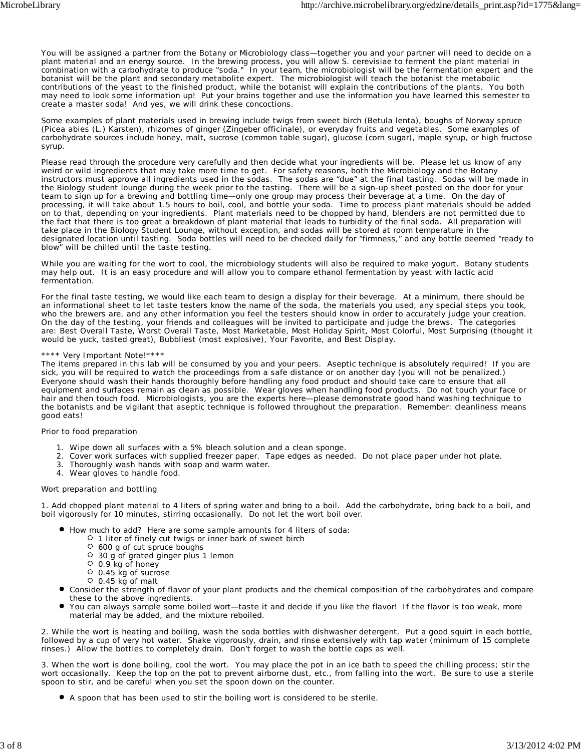You will be assigned a partner from the Botany or Microbiology class—together you and your partner will need to decide on a plant material and an energy source. In the brewing process, you will allow *S. cerevisiae* to ferment the plant material in combination with a carbohydrate to produce "soda." In your team, the microbiologist will be the fermentation expert and the botanist will be the plant and secondary metabolite expert. The microbiologist will teach the botanist the metabolic contributions of the yeast to the finished product, while the botanist will explain the contributions of the plants. You both may need to look some information up! Put your brains together and use the information you have learned this semester to create a master soda! And yes, we will drink these concoctions.

Some examples of plant materials used in brewing include twigs from sweet birch (*Betula lenta*), boughs of Norway spruce (*Picea abies* (L.) Karsten), rhizomes of ginger (*Zingeber officinale*), or everyday fruits and vegetables. Some examples of carbohydrate sources include honey, malt, sucrose (common table sugar), glucose (corn sugar), maple syrup, or high fructose syrup.

Please read through the procedure very carefully and then decide what your ingredients will be. Please let us know of any weird or wild ingredients that may take more time to get. For safety reasons, both the Microbiology and the Botany instructors must approve all ingredients used in the sodas. The sodas are "due" at the final tasting. Sodas will be made in the Biology student lounge during the week prior to the tasting. There will be a sign-up sheet posted on the door for your team to sign up for a brewing and bottling time—only one group may process their beverage at a time. On the day of processing, it will take about 1.5 hours to boil, cool, and bottle your soda. Time to process plant materials should be added on to that, depending on your ingredients. Plant materials need to be chopped by hand, blenders are not permitted due to the fact that there is too great a breakdown of plant material that leads to turbidity of the final soda. All preparation will take place in the Biology Student Lounge, without exception, and sodas will be stored at room temperature in the designated location until tasting. Soda bottles will need to be checked daily for "firmness," and any bottle deemed "ready to blow" will be chilled until the taste testing.

While you are waiting for the wort to cool, the microbiology students will also be required to make yogurt. Botany students may help out. It is an easy procedure and will allow you to compare ethanol fermentation by yeast with lactic acid fermentation.

For the final taste testing, we would like each team to design a display for their beverage. At a minimum, there should be an informational sheet to let taste testers know the name of the soda, the materials you used, any special steps you took, who the brewers are, and any other information you feel the testers should know in order to accurately judge your creation. On the day of the testing, your friends and colleagues will be invited to participate and judge the brews. The categories are: Best Overall Taste, Worst Overall Taste, Most Marketable, Most Holiday Spirit, Most Colorful, Most Surprising (thought it would be yuck, tasted great), Bubbliest (most explosive), Your Favorite, and Best Display.

#### \*\*\*\* Very Important Note!\*\*\*\*

The items prepared in this lab will be consumed by you and your peers. Aseptic technique is absolutely required! If you are sick, you will be required to watch the proceedings from a safe distance or on another day (you will not be penalized.) Everyone should wash their hands thoroughly before handling any food product and should take care to ensure that all equipment and surfaces remain as clean as possible. Wear gloves when handling food products. Do not touch your face or hair and then touch food. Microbiologists, you are the experts here—please demonstrate good hand washing technique to the botanists and be vigilant that aseptic technique is followed throughout the preparation. Remember: cleanliness means good eats!

## *Prior to food preparation*

- 1. Wipe down all surfaces with a 5% bleach solution and a clean sponge.
- 2. Cover work surfaces with supplied freezer paper. Tape edges as needed. Do not place paper under hot plate.
- 3. Thoroughly wash hands with soap and warm water.
- 4. Wear gloves to handle food.

## *Wort preparation and bottling*

1. Add chopped plant material to 4 liters of spring water and bring to a boil. Add the carbohydrate, bring back to a boil, and boil vigorously for 10 minutes, stirring occasionally. Do not let the wort boil over.

- How much to add? Here are some sample amounts for 4 liters of soda:
	- $\circ$  1 liter of finely cut twigs or inner bark of sweet birch
	- 600 g of cut spruce boughs
	- 30 g of grated ginger plus 1 lemon
	- 0.9 kg of honey
	- 0.45 kg of sucrose
	- $0.45$  kg of malt
- Consider the strength of flavor of your plant products and the chemical composition of the carbohydrates and compare these to the above ingredients.
- You can always sample some boiled wort—taste it and decide if you like the flavor! If the flavor is too weak, more material may be added, and the mixture reboiled.

2. While the wort is heating and boiling, wash the soda bottles with dishwasher detergent. Put a good squirt in each bottle, followed by a cup of very hot water. Shake vigorously, drain, and rinse extensively with tap water (minimum of 15 complete rinses.) Allow the bottles to completely drain. Don't forget to wash the bottle caps as well.

3. When the wort is done boiling, cool the wort. You may place the pot in an ice bath to speed the chilling process; stir the wort occasionally. Keep the top on the pot to prevent airborne dust, etc., from falling into the wort. Be sure to use a sterile spoon to stir, and be careful when you set the spoon down on the counter.

A spoon that has been used to stir the boiling wort is considered to be sterile.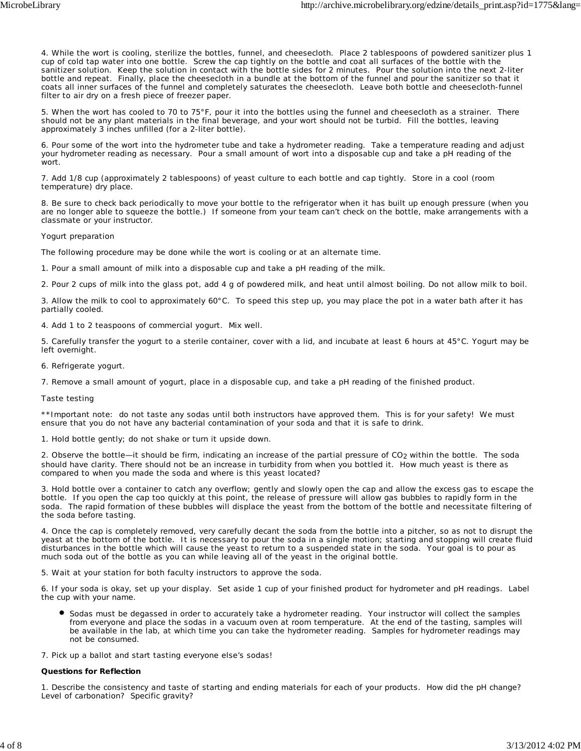4. While the wort is cooling, sterilize the bottles, funnel, and cheesecloth. Place 2 tablespoons of powdered sanitizer plus 1 cup of cold tap water into one bottle. Screw the cap tightly on the bottle and coat all surfaces of the bottle with the sanitizer solution. Keep the solution in contact with the bottle sides for 2 minutes. Pour the solution into the next 2-liter bottle and repeat. Finally, place the cheesecloth in a bundle at the bottom of the funnel and pour the sanitizer so that it coats all inner surfaces of the funnel and completely saturates the cheesecloth. Leave both bottle and cheesecloth-funnel filter to air dry on a fresh piece of freezer paper.

5. When the wort has cooled to 70 to 75°F, pour it into the bottles using the funnel and cheesecloth as a strainer. There should not be any plant materials in the final beverage, and your wort should not be turbid. Fill the bottles, leaving approximately 3 inches unfilled (for a 2-liter bottle).

6. Pour some of the wort into the hydrometer tube and take a hydrometer reading. Take a temperature reading and adjust your hydrometer reading as necessary. Pour a small amount of wort into a disposable cup and take a pH reading of the wort.

7. Add 1/8 cup (approximately 2 tablespoons) of yeast culture to each bottle and cap tightly. Store in a cool (room temperature) dry place.

8. Be sure to check back periodically to move your bottle to the refrigerator when it has built up enough pressure (when you are no longer able to squeeze the bottle.) If someone from your team can't check on the bottle, make arrangements with a classmate or your instructor.

## *Yogurt preparation*

The following procedure may be done while the wort is cooling or at an alternate time.

1. Pour a small amount of milk into a disposable cup and take a pH reading of the milk.

2. Pour 2 cups of milk into the glass pot, add 4 g of powdered milk, and heat until almost boiling. Do not allow milk to boil.

3. Allow the milk to cool to approximately 60°C. To speed this step up, you may place the pot in a water bath after it has partially cooled.

4. Add 1 to 2 teaspoons of commercial yogurt. Mix well.

5. Carefully transfer the yogurt to a sterile container, cover with a lid, and incubate at least 6 hours at 45°C. Yogurt may be left overnight.

6. Refrigerate yogurt.

7. Remove a small amount of yogurt, place in a disposable cup, and take a pH reading of the finished product.

## *Taste testing*

\*\*Important note: do not taste any sodas until both instructors have approved them. This is for your safety! We must ensure that you do not have any bacterial contamination of your soda and that it is safe to drink.

1. Hold bottle gently; do not shake or turn it upside down.

2. Observe the bottle—it should be firm, indicating an increase of the partial pressure of CO<sub>2</sub> within the bottle. The soda should have clarity. There should not be an increase in turbidity from when you bottled it. How much yeast is there as compared to when you made the soda and where is this yeast located?

3. Hold bottle over a container to catch any overflow; gently and slowly open the cap and allow the excess gas to escape the bottle. If you open the cap too quickly at this point, the release of pressure will allow gas bubbles to rapidly form in the soda. The rapid formation of these bubbles will displace the yeast from the bottom of the bottle and necessitate filtering of the soda before tasting.

4. Once the cap is completely removed, very carefully decant the soda from the bottle into a pitcher, so as not to disrupt the yeast at the bottom of the bottle. It is necessary to pour the soda in a single motion; starting and stopping will create fluid disturbances in the bottle which will cause the yeast to return to a suspended state in the soda. Your goal is to pour as much soda out of the bottle as you can while leaving all of the yeast in the original bottle.

5. Wait at your station for both faculty instructors to approve the soda.

6. If your soda is okay, set up your display. Set aside 1 cup of your finished product for hydrometer and pH readings. Label the cup with your name.

Sodas must be degassed in order to accurately take a hydrometer reading. Your instructor will collect the samples from everyone and place the sodas in a vacuum oven at room temperature. At the end of the tasting, samples will be available in the lab, at which time you can take the hydrometer reading. Samples for hydrometer readings may not be consumed.

7. Pick up a ballot and start tasting everyone else's sodas!

## *Questions for Reflection*

1. Describe the consistency and taste of starting and ending materials for each of your products. How did the pH change? Level of carbonation? Specific gravity?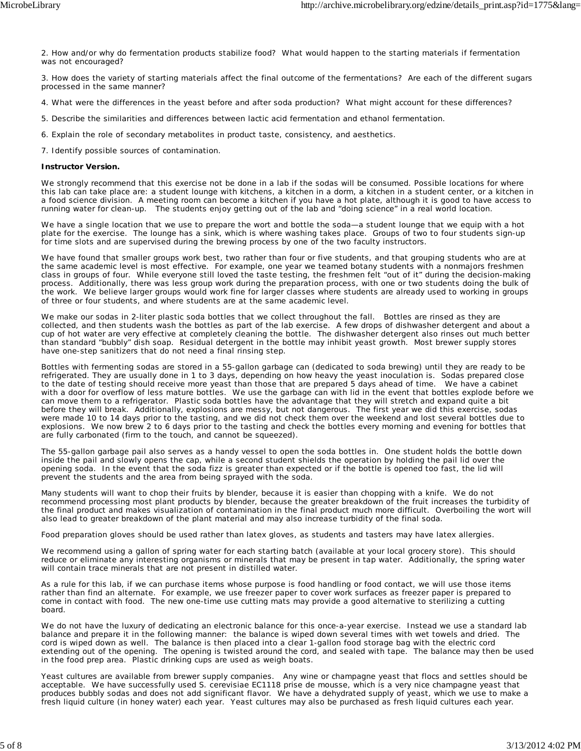2. How and/or why do fermentation products stabilize food? What would happen to the starting materials if fermentation was not encouraged?

3. How does the variety of starting materials affect the final outcome of the fermentations? Are each of the different sugars processed in the same manner?

4. What were the differences in the yeast before and after soda production? What might account for these differences?

- 5. Describe the similarities and differences between lactic acid fermentation and ethanol fermentation.
- 6. Explain the role of secondary metabolites in product taste, consistency, and aesthetics.

7. Identify possible sources of contamination.

#### **Instructor Version.**

We strongly recommend that this exercise not be done in a lab if the sodas will be consumed. Possible locations for where this lab can take place are: a student lounge with kitchens, a kitchen in a dorm, a kitchen in a student center, or a kitchen in a food science division. A meeting room can become a kitchen if you have a hot plate, although it is good to have access to running water for clean-up. The students enjoy getting out of the lab and "doing science" in a real world location.

We have a single location that we use to prepare the wort and bottle the soda—a student lounge that we equip with a hot plate for the exercise. The lounge has a sink, which is where washing takes place. Groups of two to four students sign-up for time slots and are supervised during the brewing process by one of the two faculty instructors.

We have found that smaller groups work best, two rather than four or five students, and that grouping students who are at the same academic level is most effective. For example, one year we teamed botany students with a nonmajors freshmen class in groups of four. While everyone still loved the taste testing, the freshmen felt "out of it" during the decision-making process. Additionally, there was less group work during the preparation process, with one or two students doing the bulk of the work. We believe larger groups would work fine for larger classes where students are already used to working in groups of three or four students, and where students are at the same academic level.

We make our sodas in 2-liter plastic soda bottles that we collect throughout the fall. Bottles are rinsed as they are collected, and then students wash the bottles as part of the lab exercise. A few drops of dishwasher detergent and about a cup of hot water are very effective at completely cleaning the bottle. The dishwasher detergent also rinses out much better than standard "bubbly" dish soap. Residual detergent in the bottle may inhibit yeast growth. Most brewer supply stores have one-step sanitizers that do not need a final rinsing step.

Bottles with fermenting sodas are stored in a 55-gallon garbage can (dedicated to soda brewing) until they are ready to be refrigerated. They are usually done in 1 to 3 days, depending on how heavy the yeast inoculation is. Sodas prepared close to the date of testing should receive more yeast than those that are prepared 5 days ahead of time. We have a cabinet with a door for overflow of less mature bottles. We use the garbage can with lid in the event that bottles explode before we can move them to a refrigerator. Plastic soda bottles have the advantage that they will stretch and expand quite a bit before they will break. Additionally, explosions are messy, but not dangerous. The first year we did this exercise, sodas were made 10 to 14 days prior to the tasting, and we did not check them over the weekend and lost several bottles due to explosions. We now brew 2 to 6 days prior to the tasting and check the bottles every morning and evening for bottles that are fully carbonated (firm to the touch, and cannot be squeezed).

The 55-gallon garbage pail also serves as a handy vessel to open the soda bottles in. One student holds the bottle down inside the pail and slowly opens the cap, while a second student shields the operation by holding the pail lid over the opening soda. In the event that the soda fizz is greater than expected or if the bottle is opened too fast, the lid will prevent the students and the area from being sprayed with the soda.

Many students will want to chop their fruits by blender, because it is easier than chopping with a knife. We do not recommend processing most plant products by blender, because the greater breakdown of the fruit increases the turbidity of the final product and makes visualization of contamination in the final product much more difficult. Overboiling the wort will also lead to greater breakdown of the plant material and may also increase turbidity of the final soda.

Food preparation gloves should be used rather than latex gloves, as students and tasters may have latex allergies.

We recommend using a gallon of spring water for each starting batch (available at your local grocery store). This should reduce or eliminate any interesting organisms or minerals that may be present in tap water. Additionally, the spring water will contain trace minerals that are not present in distilled water.

As a rule for this lab, if we can purchase items whose purpose is food handling or food contact, we will use those items rather than find an alternate. For example, we use freezer paper to cover work surfaces as freezer paper is prepared to come in contact with food. The new one-time use cutting mats may provide a good alternative to sterilizing a cutting board.

We do not have the luxury of dedicating an electronic balance for this once-a-year exercise. Instead we use a standard lab balance and prepare it in the following manner: the balance is wiped down several times with wet towels and dried. The cord is wiped down as well. The balance is then placed into a clear 1-gallon food storage bag with the electric cord extending out of the opening. The opening is twisted around the cord, and sealed with tape. The balance may then be used in the food prep area. Plastic drinking cups are used as weigh boats.

Yeast cultures are available from brewer supply companies. Any wine or champagne yeast that flocs and settles should be acceptable. We have successfully used *S. cerevisiae* EC1118 prise de mousse, which is a very nice champagne yeast that produces bubbly sodas and does not add significant flavor. We have a dehydrated supply of yeast, which we use to make a fresh liquid culture (in honey water) each year. Yeast cultures may also be purchased as fresh liquid cultures each year.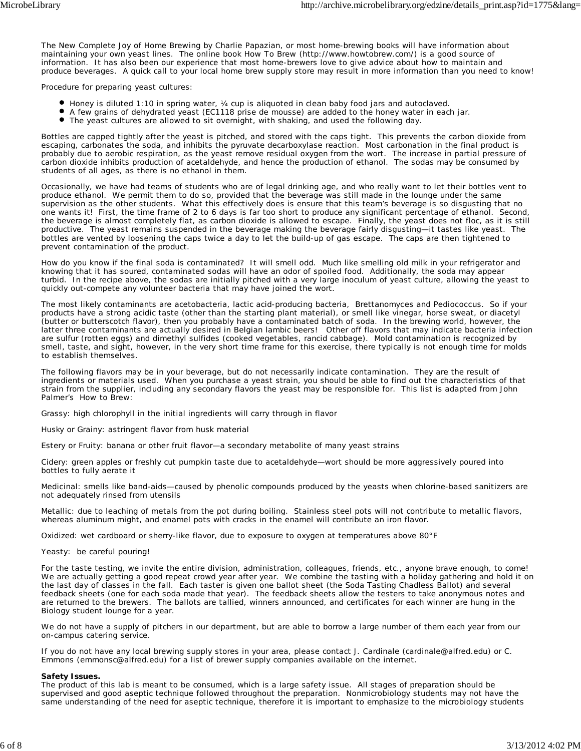*The New Complete Joy of Home Brewing* by Charlie Papazian, or most home-brewing books will have information about maintaining your own yeast lines. The online book *How To Brew* (http://www.howtobrew.com/) is a good source of information. It has also been our experience that most home-brewers love to give advice about how to maintain and produce beverages. A quick call to your local home brew supply store may result in more information than you need to know!

Procedure for preparing yeast cultures:

- Honey is diluted 1:10 in spring water, ¼ cup is aliquoted in clean baby food jars and autoclaved.
- A few grains of dehydrated yeast (EC1118 prise de mousse) are added to the honey water in each jar.
- The yeast cultures are allowed to sit overnight, with shaking, and used the following day.

Bottles are capped tightly after the yeast is pitched, and stored with the caps tight. This prevents the carbon dioxide from escaping, carbonates the soda, and inhibits the pyruvate decarboxylase reaction. Most carbonation in the final product is probably due to aerobic respiration, as the yeast remove residual oxygen from the wort. The increase in partial pressure of carbon dioxide inhibits production of acetaldehyde, and hence the production of ethanol. The sodas may be consumed by students of all ages, as there is no ethanol in them.

Occasionally, we have had teams of students who are of legal drinking age, and who really want to let their bottles vent to produce ethanol. We permit them to do so, provided that the beverage was still made in the lounge under the same supervision as the other students. What this effectively does is ensure that this team's beverage is so disgusting that no one wants it! First, the time frame of 2 to 6 days is far too short to produce any significant percentage of ethanol. Second, the beverage is almost completely flat, as carbon dioxide is allowed to escape. Finally, the yeast does not floc, as it is still productive. The yeast remains suspended in the beverage making the beverage fairly disgusting—it tastes like yeast. The bottles are vented by loosening the caps twice a day to let the build-up of gas escape. The caps are then tightened to prevent contamination of the product.

How do you know if the final soda is contaminated? It will smell odd. Much like smelling old milk in your refrigerator and knowing that it has soured, contaminated sodas will have an odor of spoiled food. Additionally, the soda may appear turbid. In the recipe above, the sodas are initially pitched with a very large inoculum of yeast culture, allowing the yeast to quickly out-compete any volunteer bacteria that may have joined the wort.

The most likely contaminants are acetobacteria, lactic acid-producing bacteria, *Brettanomyces* and *Pediococcus*. So if your products have a strong acidic taste (other than the starting plant material), or smell like vinegar, horse sweat, or diacetyl (butter or butterscotch flavor), then you probably have a contaminated batch of soda. In the brewing world, however, the latter three contaminants are actually desired in Belgian lambic beers! Other off flavors that may indicate bacteria infection are sulfur (rotten eggs) and dimethyl sulfides (cooked vegetables, rancid cabbage). Mold contamination is recognized by smell, taste, and sight, however, in the very short time frame for this exercise, there typically is not enough time for molds to establish themselves.

The following flavors may be in your beverage, but do not necessarily indicate contamination. They are the result of ingredients or materials used. When you purchase a yeast strain, you should be able to find out the characteristics of that strain from the supplier, including any secondary flavors the yeast may be responsible for. This list is adapted from John Palmer's *How to Brew*:

*Grassy*: high chlorophyll in the initial ingredients will carry through in flavor

*Husky or Grainy*: astringent flavor from husk material

*Estery or Fruity*: banana or other fruit flavor—a secondary metabolite of many yeast strains

*Cidery*: green apples or freshly cut pumpkin taste due to acetaldehyde—wort should be more aggressively poured into bottles to fully aerate it

*Medicinal*: smells like band-aids—caused by phenolic compounds produced by the yeasts when chlorine-based sanitizers are not adequately rinsed from utensils

*Metallic*: due to leaching of metals from the pot during boiling. Stainless steel pots will not contribute to metallic flavors, whereas aluminum might, and enamel pots with cracks in the enamel will contribute an iron flavor.

*Oxidized*: wet cardboard or sherry-like flavor, due to exposure to oxygen at temperatures above 80°F

*Yeasty:* be careful pouring!

For the taste testing, we invite the entire division, administration, colleagues, friends, etc., anyone brave enough, to come! We are actually getting a good repeat crowd year after year. We combine the tasting with a holiday gathering and hold it on the last day of classes in the fall. Each taster is given one ballot sheet (the Soda Tasting Chadless Ballot) and several feedback sheets (one for each soda made that year). The feedback sheets allow the testers to take anonymous notes and are returned to the brewers. The ballots are tallied, winners announced, and certificates for each winner are hung in the Biology student lounge for a year.

We do not have a supply of pitchers in our department, but are able to borrow a large number of them each year from our on-campus catering service.

If you do not have any local brewing supply stores in your area, please contact J. Cardinale (cardinale@alfred.edu) or C. Emmons (emmonsc@alfred.edu) for a list of brewer supply companies available on the internet.

#### **Safety Issues.**

The product of this lab is meant to be consumed, which is a large safety issue. All stages of preparation should be supervised and good aseptic technique followed throughout the preparation. Nonmicrobiology students may not have the same understanding of the need for aseptic technique, therefore it is important to emphasize to the microbiology students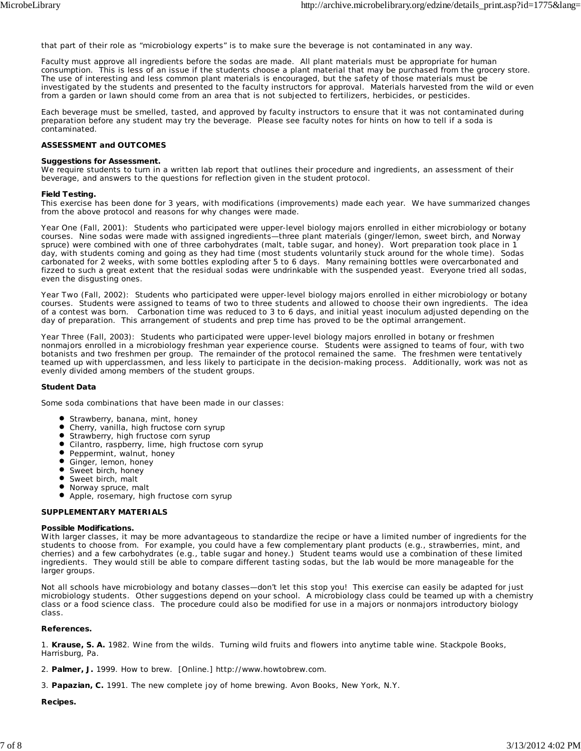that part of their role as "microbiology experts" is to make sure the beverage is not contaminated in any way.

Faculty must approve all ingredients before the sodas are made. All plant materials must be appropriate for human consumption. This is less of an issue if the students choose a plant material that may be purchased from the grocery store. The use of interesting and less common plant materials is encouraged, but the safety of those materials must be investigated by the students and presented to the faculty instructors for approval. Materials harvested from the wild or even from a garden or lawn should come from an area that is not subjected to fertilizers, herbicides, or pesticides.

Each beverage must be smelled, tasted, and approved by faculty instructors to ensure that it was not contaminated during preparation before any student may try the beverage. Please see faculty notes for hints on how to tell if a soda is contaminated.

#### **ASSESSMENT and OUTCOMES**

#### **Suggestions for Assessment.**

We require students to turn in a written lab report that outlines their procedure and ingredients, an assessment of their beverage, and answers to the questions for reflection given in the student protocol.

#### **Field Testing.**

This exercise has been done for 3 years, with modifications (improvements) made each year. We have summarized changes from the above protocol and reasons for why changes were made.

*Year One (Fall, 2001)*: Students who participated were upper-level biology majors enrolled in either microbiology or botany courses. Nine sodas were made with assigned ingredients—three plant materials (ginger/lemon, sweet birch, and Norway spruce) were combined with one of three carbohydrates (malt, table sugar, and honey). Wort preparation took place in 1 day, with students coming and going as they had time (most students voluntarily stuck around for the whole time). Sodas carbonated for 2 weeks, with some bottles exploding after 5 to 6 days. Many remaining bottles were overcarbonated and fizzed to such a great extent that the residual sodas were undrinkable with the suspended yeast. Everyone tried all sodas, even the disgusting ones.

*Year Two (Fall, 2002)*: Students who participated were upper-level biology majors enrolled in either microbiology or botany courses. Students were assigned to teams of two to three students and allowed to choose their own ingredients. The idea of a contest was born. Carbonation time was reduced to 3 to 6 days, and initial yeast inoculum adjusted depending on the day of preparation. This arrangement of students and prep time has proved to be the optimal arrangement.

*Year Three (Fall, 2003)*: Students who participated were upper-level biology majors enrolled in botany or freshmen nonmajors enrolled in a microbiology freshman year experience course. Students were assigned to teams of four, with two botanists and two freshmen per group. The remainder of the protocol remained the same. The freshmen were tentatively teamed up with upperclassmen, and less likely to participate in the decision-making process. Additionally, work was not as evenly divided among members of the student groups.

#### **Student Data**

Some soda combinations that have been made in our classes:

- **•** Strawberry, banana, mint, honey
- Cherry, vanilla, high fructose corn syrup
- $\bullet$ Strawberry, high fructose corn syrup
- Cilantro, raspberry, lime, high fructose corn syrup
- **•** Peppermint, walnut, honey
- $\bullet$ Ginger, lemon, honey
- Sweet birch, honey  $\bullet$
- Sweet birch, malt
- Norway spruce, malt
- $\bullet$ Apple, rosemary, high fructose corn syrup

#### **SUPPLEMENTARY MATERIALS**

#### **Possible Modifications.**

With larger classes, it may be more advantageous to standardize the recipe or have a limited number of ingredients for the students to choose from. For example, you could have a few complementary plant products (e.g., strawberries, mint, and cherries) and a few carbohydrates (e.g., table sugar and honey.) Student teams would use a combination of these limited ingredients. They would still be able to compare different tasting sodas, but the lab would be more manageable for the larger groups.

Not all schools have microbiology and botany classes—don't let this stop you! This exercise can easily be adapted for just microbiology students. Other suggestions depend on your school. A microbiology class could be teamed up with a chemistry class or a food science class. The procedure could also be modified for use in a majors or nonmajors introductory biology class.

#### **References.**

1. **Krause, S. A.** 1982. Wine from the wilds. Turning wild fruits and flowers into anytime table wine. Stackpole Books, Harrisburg, Pa.

2. **Palmer, J.** 1999. How to brew. [Online.] http://www.howtobrew.com.

3. **Papazian, C.** 1991. The new complete joy of home brewing. Avon Books, New York, N.Y.

#### **Recipes.**